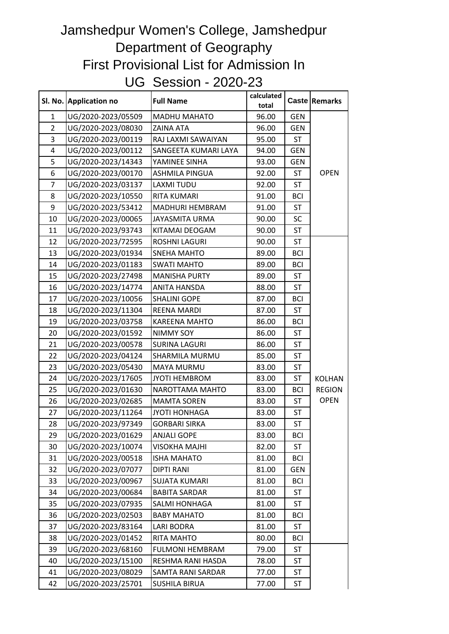## Jamshedpur Women's College, Jamshedpur Department of Geography First Provisional List for Admission In UG Session - 2020-23

|                | SI. No. Application no | <b>Full Name</b>         | calculated<br>total |            | Caste Remarks |
|----------------|------------------------|--------------------------|---------------------|------------|---------------|
| $\mathbf{1}$   | UG/2020-2023/05509     | <b>MADHU MAHATO</b>      | 96.00               | <b>GEN</b> |               |
| $\overline{2}$ | UG/2020-2023/08030     | <b>ZAINA ATA</b>         | 96.00               | <b>GEN</b> |               |
| 3              | UG/2020-2023/00119     | RAJ LAXMI SAWAIYAN       | 95.00               | ST         |               |
| 4              | UG/2020-2023/00112     | SANGEETA KUMARI LAYA     | 94.00               | <b>GEN</b> |               |
| 5              | UG/2020-2023/14343     | YAMINEE SINHA            | 93.00               | <b>GEN</b> |               |
| 6              | UG/2020-2023/00170     | <b>ASHMILA PINGUA</b>    | 92.00               | ST         | <b>OPEN</b>   |
| 7              | UG/2020-2023/03137     | <b>LAXMITUDU</b>         | 92.00               | ST         |               |
| 8              | UG/2020-2023/10550     | <b>RITA KUMARI</b>       | 91.00               | <b>BCI</b> |               |
| 9              | UG/2020-2023/53412     | <b>MADHURI HEMBRAM</b>   | 91.00               | ST         |               |
| 10             | UG/2020-2023/00065     | <b>JAYASMITA URMA</b>    | 90.00               | <b>SC</b>  |               |
| 11             | UG/2020-2023/93743     | KITAMAI DEOGAM           | 90.00               | <b>ST</b>  |               |
| 12             | UG/2020-2023/72595     | <b>ROSHNI LAGURI</b>     | 90.00               | ST         |               |
| 13             | UG/2020-2023/01934     | <b>SNEHA MAHTO</b>       | 89.00               | <b>BCI</b> |               |
| 14             | UG/2020-2023/01183     | <b>SWATI MAHTO</b>       | 89.00               | <b>BCI</b> |               |
| 15             | UG/2020-2023/27498     | <b>MANISHA PURTY</b>     | 89.00               | ST         |               |
| 16             | UG/2020-2023/14774     | ANITA HANSDA             | 88.00               | ST         |               |
| 17             | UG/2020-2023/10056     | <b>SHALINI GOPE</b>      | 87.00               | <b>BCI</b> |               |
| 18             | UG/2020-2023/11304     | <b>REENA MARDI</b>       | 87.00               | ST         |               |
| 19             | UG/2020-2023/03758     | <b>KAREENA MAHTO</b>     | 86.00               | <b>BCI</b> |               |
| 20             | UG/2020-2023/01592     | <b>NIMMY SOY</b>         | 86.00               | ST         |               |
| 21             | UG/2020-2023/00578     | <b>SURINA LAGURI</b>     | 86.00               | ST         |               |
| 22             | UG/2020-2023/04124     | SHARMILA MURMU           | 85.00               | ST         |               |
| 23             | UG/2020-2023/05430     | <b>MAYA MURMU</b>        | 83.00               | <b>ST</b>  |               |
| 24             | UG/2020-2023/17605     | <b>JYOTI HEMBROM</b>     | 83.00               | ST         | <b>KOLHAN</b> |
| 25             | UG/2020-2023/01630     | NAROTTAMA MAHTO          | 83.00               | <b>BCI</b> | <b>REGION</b> |
| 26             | UG/2020-2023/02685     | <b>MAMTA SOREN</b>       | 83.00               | ST         | <b>OPEN</b>   |
| 27             | UG/2020-2023/11264     | <b>JYOTI HONHAGA</b>     | 83.00               | <b>ST</b>  |               |
| 28             | UG/2020-2023/97349     | <b>GORBARI SIRKA</b>     | 83.00               | <b>ST</b>  |               |
| 29             | UG/2020-2023/01629     | <b>ANJALI GOPE</b>       | 83.00               | <b>BCI</b> |               |
| 30             | UG/2020-2023/10074     | <b>VISOKHA MAJHI</b>     | 82.00               | ST         |               |
| 31             | UG/2020-2023/00518     | <b>ISHA MAHATO</b>       | 81.00               | <b>BCI</b> |               |
| 32             | UG/2020-2023/07077     | <b>DIPTI RANI</b>        | 81.00               | GEN        |               |
| 33             | UG/2020-2023/00967     | <b>SUJATA KUMARI</b>     | 81.00               | <b>BCI</b> |               |
| 34             | UG/2020-2023/00684     | <b>BABITA SARDAR</b>     | 81.00               | ST         |               |
| 35             | UG/2020-2023/07935     | <b>SALMI HONHAGA</b>     | 81.00               | ST         |               |
| 36             | UG/2020-2023/02503     | <b>BABY MAHATO</b>       | 81.00               | <b>BCI</b> |               |
| 37             | UG/2020-2023/83164     | LARI BODRA               | 81.00               | ST         |               |
| 38             | UG/2020-2023/01452     | RITA MAHTO               | 80.00               | <b>BCI</b> |               |
| 39             | UG/2020-2023/68160     | <b>FULMONI HEMBRAM</b>   | 79.00               | ST         |               |
| 40             | UG/2020-2023/15100     | RESHMA RANI HASDA        | 78.00               | ST         |               |
| 41             | UG/2020-2023/08029     | <b>SAMTA RANI SARDAR</b> | 77.00               | ST         |               |
| 42             | UG/2020-2023/25701     | <b>SUSHILA BIRUA</b>     | 77.00               | ST         |               |